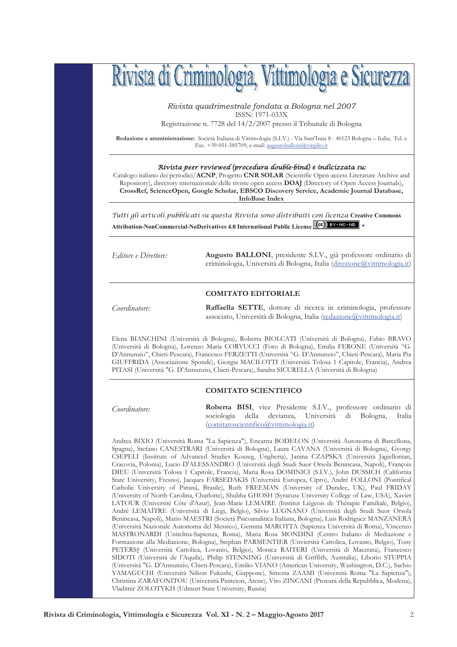

Rivista quadrimestrale fondata a Bologna nel 2007 ISSN: 1971-033X

Registrazione n. 7728 del 14/2/2007 presso il Tribunale di Bologna

Redazione e amministrazione: Società Italiana di Vittimologia (S.I.V.) - Via Sant'Isaia 8 - 40123 Bologna - Italia; Tel. e Fax. +39-051-585709; e-mail: augustoballoni@virgilio.it

## Rívísta peer revíewed (procedura double-bínd) e indicizzata su:

Catalogo italiano dei periodici/ACNP, Progetto CNR SOLAR (Scientific Open-access Literature Archive and Repository), directory internazionale delle riviste open access DOAJ (Directory of Open Access Journals), CrossRef, ScienceOpen, Google Scholar, EBSCO Discovery Service, Academic Journal Database, **InfoBase Index** 

Tutti gli articoli pubblicati su questa Rivista sono distribuiti con licenza Creative Commons Attribution-NonCommercial-NoDerivatives 4.0 International Public License CCC) BY-NC-ND

Editore e Direttore:

Augusto BALLONI, presidente S.I.V., già professore ordinario di criminologia, Università di Bologna, Italia (direzione@vittimologia.it)

## **COMITATO EDITORIALE**

Coordinatore:

Raffaella SETTE, dottore di ricerca in criminologia, professore associato, Università di Bologna, Italia (redazione@vittimologia.it)

Elena BIANCHINI (Università di Bologna), Roberta BIOLCATI (Università di Bologna), Fabio BRAVO (Università di Bologna), Lorenzo Maria CORVUCCI (Foro di Bologna), Emilia FERONE (Università "G. D'Annunzio", Chieti-Pescara), Francesco FERZETTI (Università "G. D'Annunzio", Chieti-Pescara), Maria Pia GIUFFRIDA (Associazione Spondé), Giorgia MACILOTTI (Università Tolosa 1 Capitole, Francia), Andrea PITASI (Università "G. D'Annunzio, Chieti-Pescara), Sandra SICURELLA (Università di Bologna)

## **COMITATO SCIENTIFICO**

Coordinatore:

Roberta BISI, vice Presidente S.I.V., professore ordinario di sociologia della devianza, Università di Bologna, Italia (comitatoscientifico@vittimologia.it)

Andrea BIXIO (Università Roma "La Sapienza"), Encarna BODELON (Università Autonoma di Barcellona, Spagna), Stefano CANESTRARI (Università di Bologna), Laura CAVANA (Università di Bologna), Gyorgy CSEPELI (Institute of Advanced Studies Koszeg, Ungheria), Janina CZAPSKA (Università Jagiellonian, Cracovia, Polonia), Lucio D'ALESSANDRO (Università degli Studi Suor Orsola Benincasa, Napoli), François DIEU (Università Tolosa 1 Capitole, Francia), Maria Rosa DOMINICI (S.I.V.), John DUSSICH (California State University, Fresno), Jacques FARSEDAKIS (Università Europea, Cipro), André FOLLONI (Pontifical Catholic University of Paraná, Brasile), Ruth FREEMAN (University of Dundee, UK), Paul FRIDAY (University of North Carolina, Charlotte), Shubha GHOSH (Syracuse University College of Law, USA), Xavier LATOUR (Université Côte d'Azur), Jean-Marie LEMAIRE (Institut Liégeois de Thérapie Familiale, Belgio), André LEMAÎTRE (Università di Liegi, Belgio), Silvio LUGNANO (Università degli Studi Suor Orsola Benincasa, Napoli), Mario MAESTRI (Società Psicoanalitica Italiana, Bologna), Luis Rodriguez MANZANERA (Università Nazionale Autonoma del Messico), Gemma MAROTTA (Sapienza Università di Roma), Vincenzo MASTRONARDI (Unitelma-Sapienza, Roma), Maria Rosa MONDINI (Centro Italiano di Mediazione e Formazione alla Mediazione, Bologna), Stephan PARMENTIER (Unviersità Cattolica, Lovanio, Belgio), Tony PETERS<sup>+</sup> (Università Cattolica, Lovanio, Belgio), Monica RAITERI (Università di Macerata), Francesco SIDOTI (Università de l'Aquila), Philip STENNING (Università di Griffith, Australia), Liborio STUPPIA (Università "G. D'Annunzio, Chieti-Pescara), Emilio VIANO (American University, Washington, D.C.), Sachio YAMAGUCHI (Università Nihon Fukushi, Giappone), Simona ZAAMI (Università Roma "La Sapienza"), Christina ZARAFONITOU (Università Panteion, Atene), Vito ZINCANI (Procura della Repubblica, Modena), Vladimir ZOLOTYKH (Udmurt State University, Russia)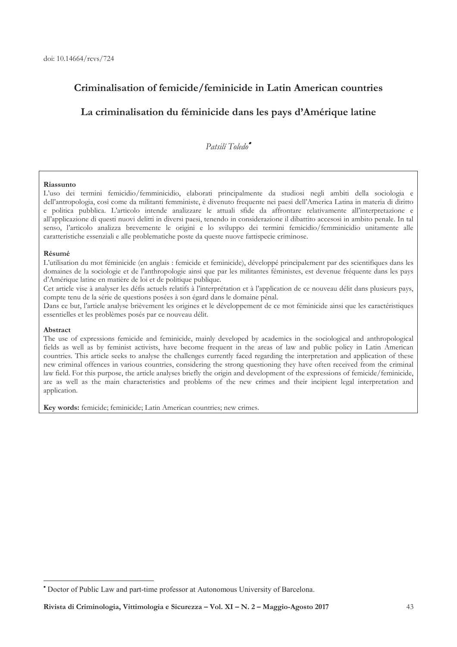## Criminalisation of femicide/feminicide in Latin American countries

# La criminalisation du féminicide dans les pays d'Amérique latine

## Patsilí Toledo<sup>®</sup>

### Riassunto

L'uso dei termini femicidio/femminicidio, elaborati principalmente da studiosi negli ambiti della sociologia e dell'antropologia, così come da militanti femministe, è divenuto frequente nei paesi dell'America Latina in materia di diritto e politica pubblica. L'articolo intende analizzare le attuali sfide da affrontare relativamente all'interpretazione e all'applicazione di questi nuovi delitti in diversi paesi, tenendo in considerazione il dibattito accesosi in ambito penale. In tal senso, l'articolo analizza brevemente le origini e lo sviluppo dei termini femicidio/femminicidio unitamente alle caratteristiche essenziali e alle problematiche poste da queste nuove fattispecie criminose.

#### Résumé

L'utilisation du mot féminicide (en anglais : femicide et feminicide), développé principalement par des scientifiques dans les domaines de la sociologie et de l'anthropologie ainsi que par les militantes féministes, est devenue fréquente dans les pays d'Amérique latine en matière de loi et de politique publique.

Cet article vise à analyser les défis actuels relatifs à l'interprétation et à l'application de ce nouveau délit dans plusieurs pays, compte tenu de la série de questions posées à son égard dans le domaine pénal.

Dans ce but, l'article analyse brièvement les origines et le développement de ce mot féminicide ainsi que les caractéristiques essentielles et les problèmes posés par ce nouveau délit.

#### Abstract

The use of expressions femicide and feminicide, mainly developed by academics in the sociological and anthropological fields as well as by feminist activists, have become frequent in the areas of law and public policy in Latin American countries. This article seeks to analyse the challenges currently faced regarding the interpretation and application of these new criminal offences in various countries, considering the strong questioning they have often received from the criminal law field. For this purpose, the article analyses briefly the origin and development of the expressions of femicide/feminicide, are as well as the main characteristics and problems of the new crimes and their incipient legal interpretation and application.

Key words: femicide; feminicide; Latin American countries; new crimes.

<sup>\*</sup> Doctor of Public Law and part-time professor at Autonomous University of Barcelona.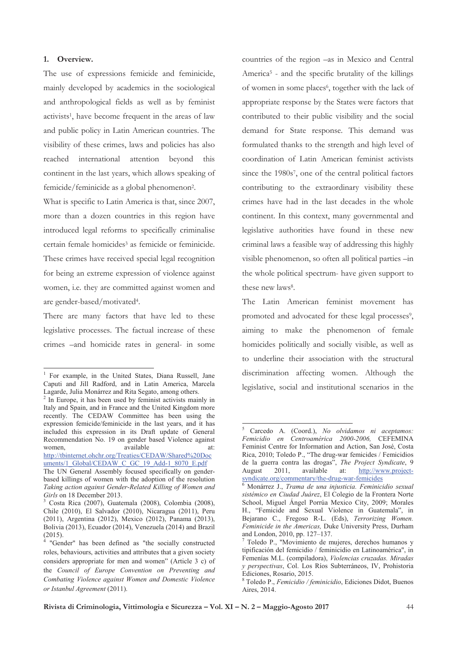### 1. Overview.

 $\overline{a}$ 

The use of expressions femicide and feminicide, mainly developed by academics in the sociological and anthropological fields as well as by feminist activists<sup>1</sup>, have become frequent in the areas of law and public policy in Latin American countries. The visibility of these crimes, laws and policies has also reached international attention beyond this continent in the last years, which allows speaking of femicide/feminicide as a global phenomenon<sup>2</sup>.

What is specific to Latin America is that, since 2007, more than a dozen countries in this region have introduced legal reforms to specifically criminalise certain female homicides<sup>3</sup> as femicide or feminicide. These crimes have received special legal recognition for being an extreme expression of violence against women, i.e. they are committed against women and are gender-based/motivated<sup>4</sup>.

There are many factors that have led to these legislative processes. The factual increase of these crimes -and homicide rates in general- in some

uments/1\_Global/CEDAW\_C\_GC\_19\_Add-1\_8070\_E.pdf

countries of the region -as in Mexico and Central America<sup>5</sup> - and the specific brutality of the killings of women in some places<sup>6</sup>, together with the lack of appropriate response by the States were factors that contributed to their public visibility and the social demand for State response. This demand was formulated thanks to the strength and high level of coordination of Latin American feminist activists since the 1980s<sup>7</sup>, one of the central political factors contributing to the extraordinary visibility these crimes have had in the last decades in the whole continent. In this context, many governmental and legislative authorities have found in these new criminal laws a feasible way of addressing this highly visible phenomenon, so often all political parties  $-\text{in}$ the whole political spectrum- have given support to these new laws<sup>8</sup>.

The Latin American feminist movement has promoted and advocated for these legal processes<sup>9</sup>, aiming to make the phenomenon of female homicides politically and socially visible, as well as to underline their association with the structural discrimination affecting women. Although the legislative, social and institutional scenarios in the

1

<sup>1</sup> For example, in the United States, Diana Russell, Jane Caputi and Jill Radford, and in Latin America, Marcela Lagarde, Julia Monárrez and Rita Segato, among others.

 $2$  In Europe, it has been used by feminist activists mainly in Italy and Spain, and in France and the United Kingdom more recently. The CEDAW Committee has been using the expression femicide/feminicide in the last years, and it has included this expression in its Draft update of General Recommendation No. 19 on gender based Violence against women, available at: http://tbinternet.ohchr.org/Treaties/CEDAW/Shared%20Doc

The UN General Assembly focused specifically on genderbased killings of women with the adoption of the resolution *Taking action against Gender-Related Killing of Women and Girls* on 18 December 2013.

<sup>3</sup> Costa Rica (2007), Guatemala (2008), Colombia (2008), Chile (2010), El Salvador (2010), Nicaragua (2011), Peru (2011), Argentina (2012), Mexico (2012), Panama (2013), Bolivia (2013), Ecuador (2014), Venezuela (2014) and Brazil  $(2015).$ 

 <sup>&</sup>quot;Gender" has been defined as "the socially constructed roles, behaviours, activities and attributes that a given society considers appropriate for men and women" (Article 3 c) of the *Council of Europe Convention on Preventing and Combating Violence against Women and Domestic Violence or Istanbul Agreement* (2011).

<sup>5</sup> Carcedo A. (Coord.), *No olvidamos ni aceptamos: Femicidio en Centroamérica 2000-2006,* CEFEMINA Feminist Centre for Information and Action, San José, Costa Rica, 2010; Toledo P., "The drug-war femicides / Femicidios de la guerra contra las drogas", *The Project Syndicate*, 9 August 2011, available at: http://www.projectsyndicate.org/commentary/the-drug-war-femicides 6 Monárrez J., *Trama de una injusticia. Feminicidio sexual* 

*sistémico en Ciudad Juárez*, El Colegio de la Frontera Norte School, Miguel Ángel Porrúa Mexico City, 2009; Morales H., "Femicide and Sexual Violence in Guatemala", in Bejarano C., Fregoso R-L. (Eds), *Terrorizing Women. Feminicide in the Americas,* Duke University Press, Durham and London, 2010, pp. 127–137.

<sup>7</sup> Toledo P., "Movimiento de mujeres, derechos humanos y tipificación del femicidio / feminicidio en Latinoamérica", in Femenías M.L. (compiladora), *Violencias cruzadas. Miradas y perspectivas*, Col. Los Ríos Subterráneos, IV, Prohistoria Ediciones, Rosario, 2015.

<sup>8</sup> Toledo P., *Femicidio / feminicidio*, Ediciones Didot, Buenos Aires, 2014.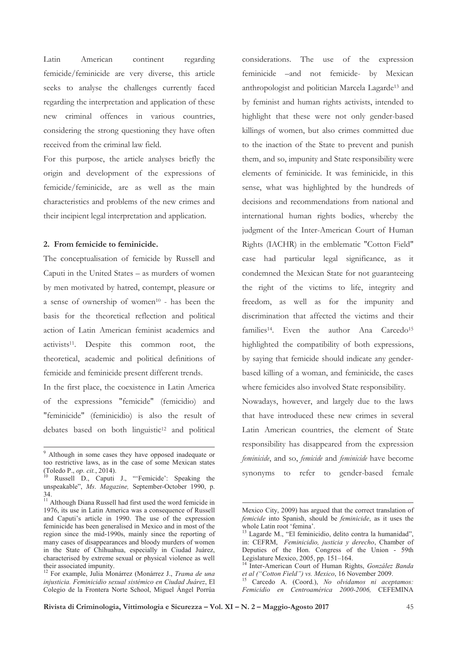Latin regarding American continent femicide/feminicide are very diverse, this article seeks to analyse the challenges currently faced regarding the interpretation and application of these new criminal offences in various countries, considering the strong questioning they have often received from the criminal law field.

For this purpose, the article analyses briefly the origin and development of the expressions of femicide/feminicide, are as well as the main characteristics and problems of the new crimes and their incipient legal interpretation and application.

## 2. From femicide to feminicide.

The conceptualisation of femicide by Russell and Caputi in the United States - as murders of women by men motivated by hatred, contempt, pleasure or a sense of ownership of women<sup>10</sup> - has been the basis for the theoretical reflection and political action of Latin American feminist academics and activists<sup>11</sup>. Despite this common root, the theoretical, academic and political definitions of femicide and feminicide present different trends.

In the first place, the coexistence in Latin America of the expressions "femicide" (femicidio) and "feminicide" (feminicidio) is also the result of debates based on both linguistic<sup>12</sup> and political considerations. The use of the expression feminicide -and not femicide- by Mexican anthropologist and politician Marcela Lagarde<sup>13</sup> and by feminist and human rights activists, intended to highlight that these were not only gender-based killings of women, but also crimes committed due to the inaction of the State to prevent and punish them, and so, impunity and State responsibility were elements of feminicide. It was feminicide, in this sense, what was highlighted by the hundreds of decisions and recommendations from national and international human rights bodies, whereby the judgment of the Inter-American Court of Human Rights (IACHR) in the emblematic "Cotton Field" case had particular legal significance, as it condemned the Mexican State for not guaranteeing the right of the victims to life, integrity and freedom, as well as for the impunity and discrimination that affected the victims and their families<sup>14</sup>. Even the author Ana Carcedo<sup>15</sup> highlighted the compatibility of both expressions, by saying that femicide should indicate any genderbased killing of a woman, and feminicide, the cases where femicides also involved State responsibility.

Nowadays, however, and largely due to the laws that have introduced these new crimes in several Latin American countries, the element of State responsibility has disappeared from the expression feminicide, and so, femicide and feminicide have become synonyms to refer to gender-based female

<sup>&</sup>lt;sup>9</sup> Although in some cases they have opposed inadequate or too restrictive laws, as in the case of some Mexican states (Toledo P., *op. cit.*, 2014).

<sup>&</sup>lt;sup>10</sup> Russell D., Caputi J., "'Femicide': Speaking the unspeakable", Ms. Magazine, September-October 1990, p.  $34$ 

<sup>&</sup>lt;sup>11</sup> Although Diana Russell had first used the word femicide in 1976, its use in Latin America was a consequence of Russell and Caputi's article in 1990. The use of the expression feminicide has been generalised in Mexico and in most of the region since the mid-1990s, mainly since the reporting of many cases of disappearances and bloody murders of women in the State of Chihuahua, especially in Ciudad Juárez, characterised by extreme sexual or physical violence as well their associated impunity.

<sup>&</sup>lt;sup>12</sup> For example, Julia Monárrez (Monárrez J., Trama de una injusticia. Feminicidio sexual sistémico en Ciudad Juárez, El Colegio de la Frontera Norte School, Miguel Ángel Porrúa

Mexico City, 2009) has argued that the correct translation of femicide into Spanish, should be feminicide, as it uses the whole Latin root 'femina'.

<sup>&</sup>lt;sup>13</sup> Lagarde M., "El feminicidio, delito contra la humanidad", in: CEFRM, Feminicidio, justicia y derecho, Chamber of Deputies of the Hon. Congress of the Union - 59th Legislature Mexico, 2005, pp. 151-164.

Inter-American Court of Human Rights, González Banda et al ("Cotton Field") vs. Mexico, 16 November 2009.

<sup>&</sup>lt;sup>15</sup> Carcedo A. (Coord.), No olvidamos ni aceptamos: Femicidio en Centroamérica 2000-2006, CEFEMINA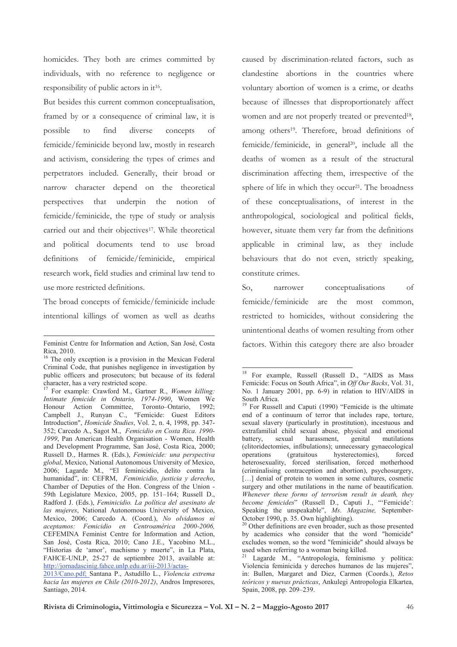homicides. They both are crimes committed by individuals, with no reference to negligence or responsibility of public actors in it<sup>16</sup>.

But besides this current common conceptualisation, framed by or a consequence of criminal law, it is possible to find diverse concepts of femicide/feminicide beyond law, mostly in research and activism, considering the types of crimes and perpetrators included. Generally, their broad or narrow character depend on the theoretical that underpin the notion of perspectives femicide/feminicide, the type of study or analysis carried out and their objectives<sup>17</sup>. While theoretical and political documents tend to use broad definitions of femicide/feminicide, empirical research work, field studies and criminal law tend to use more restricted definitions.

The broad concepts of femicide/feminicide include intentional killings of women as well as deaths caused by discrimination-related factors, such as clandestine abortions in the countries where voluntary abortion of women is a crime, or deaths because of illnesses that disproportionately affect women and are not properly treated or prevented<sup>18</sup>, among others<sup>19</sup>. Therefore, broad definitions of femicide/feminicide, in general<sup>20</sup>, include all the deaths of women as a result of the structural discrimination affecting them, irrespective of the sphere of life in which they occur<sup>21</sup>. The broadness of these conceptualisations, of interest in the anthropological, sociological and political fields, however, situate them very far from the definitions applicable in criminal law, as they include behaviours that do not even, strictly speaking, constitute crimes.

 $So.$ narrower conceptualisations  $\sigma$ f femicide/feminicide are the most common, restricted to homicides, without considering the unintentional deaths of women resulting from other factors. Within this category there are also broader

Feminist Centre for Information and Action. San José. Costa Rica, 2010.

The only exception is a provision in the Mexican Federal Criminal Code, that punishes negligence in investigation by public officers and prosecutors; but because of its federal character, has a very restricted scope.

<sup>&</sup>lt;sup>17</sup> For example: Crawford M., Gartner R., Women killing: Intimate femicide in Ontario, 1974-1990, Women We Honour Action Committee, Toronto-Ontario, 1992: Campbell J., Runyan C., "Femicide: Guest Editors Introduction", *Homicide Studies*, Vol. 2, n. 4, 1998, pp. 347-352; Carcedo A., Sagot M., Femicidio en Costa Rica. 1990-1999, Pan American Health Organisation - Women, Health and Development Programme, San José, Costa Rica, 2000; Russell D., Harmes R. (Eds.), Feminicide: una perspectiva global, Mexico, National Autonomous University of Mexico, 2006; Lagarde M., "El feminicidio, delito contra la humanidad", in: CEFRM, Feminicidio, justicia y derecho, Chamber of Deputies of the Hon. Congress of the Union -59th Legislature Mexico, 2005, pp. 151-164; Russell D., Radford J. (Eds.), Feminicidio. La política del asesinato de las mujeres, National Autonomous University of Mexico, Mexico, 2006; Carcedo A. (Coord.), No olvidamos ni aceptamos: Femicidio en Centroamérica 2000-2006, CEFEMINA Feminist Centre for Information and Action, San José, Costa Rica, 2010; Cano J.E., Yacobino M.L., "Historias de 'amor', machismo y muerte", in La Plata, FAHCE-UNLP, 25-27 de septiembre 2013, available at: http://jornadascinig.fahce.unlp.edu.ar/iii-2013/actas-

<sup>2013/</sup>Cano.pdf; Santana P., Astudillo L., Violencia extrema hacia las mujeres en Chile (2010-2012), Andros Impresores, Santiago, 2014.

<sup>&</sup>lt;sup>18</sup> For example, Russell (Russell D., "AIDS as Mass Femicide: Focus on South Africa", in Off Our Backs, Vol. 31, No. 1 January 2001, pp. 6-9) in relation to HIV/AIDS in South Africa.

For Russell and Caputi (1990) "Femicide is the ultimate end of a continuum of terror that includes rape, torture, sexual slavery (particularly in prostitution), incestuous and extrafamilial child sexual abuse, physical and emotional sexual harassment, genital battery, mutilations (clitoridectomies, infibulations); unnecessary gynaecological operations (gratuitous hysterectomies), forced heterosexuality, forced sterilisation, forced motherhood (criminalising contraception and abortion), psychosurgery, [...] denial of protein to women in some cultures, cosmetic surgery and other mutilations in the name of beautification. Whenever these forms of terrorism result in death, they become femicides" (Russell D., Caputi J., "'Femicide': Speaking the unspeakable", Ms. Magazine, September-October 1990, p. 35. Own highlighting).

<sup>&</sup>lt;sup>20</sup> Other definitions are even broader, such as those presented by academics who consider that the word "homicide" excludes women, so the word "feminicide" should always be used when referring to a woman being killed.

Lagarde M., "Antropología, feminismo y política: Violencia feminicida y derechos humanos de las mujeres", in: Bullen, Margaret and Diez, Carmen (Coords.), Retos teóricos y nuevas prácticas, Ankulegi Antropologia Elkartea, Spain, 2008, pp. 209-239.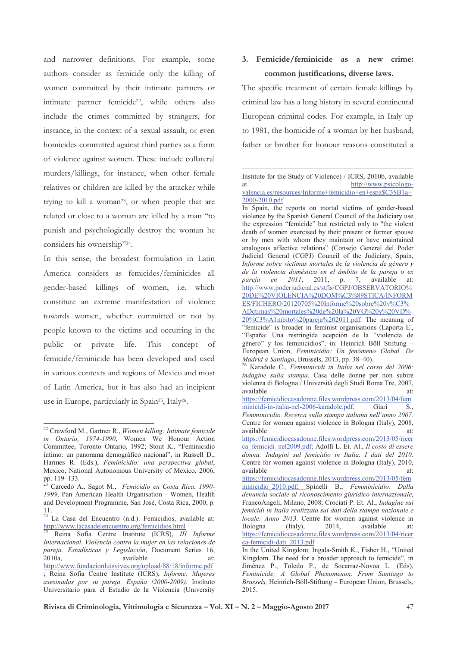and narrower definitions. For example, some authors consider as femicide only the killing of women committed by their intimate partners or intimate partner femicide<sup>22</sup>, while others also include the crimes committed by strangers, for instance, in the context of a sexual assault, or even homicides committed against third parties as a form of violence against women. These include collateral murders/killings, for instance, when other female relatives or children are killed by the attacker while trying to kill a woman<sup>23</sup>, or when people that are related or close to a woman are killed by a man "to punish and psychologically destroy the woman he considers his ownership"24.

In this sense, the broadest formulation in Latin America considers as femicides/feminicides all gender-based killings of women, i.e. which constitute an extreme manifestation of violence towards women, whether committed or not by people known to the victims and occurring in the public private life. This concept of **or** femicide/feminicide has been developed and used in various contexts and regions of Mexico and most of Latin America, but it has also had an incipient use in Europe, particularly in Spain<sup>25</sup>, Italy<sup>26</sup>.

# 3. Femicide/feminicide as a new crime: common justifications, diverse laws.

The specific treatment of certain female killings by criminal law has a long history in several continental European criminal codes. For example, in Italy up to 1981, the homicide of a woman by her husband, father or brother for honour reasons constituted a

 $^{22}$  Crawford M., Gartner R., Women killing: Intimate femicide in Ontario, 1974-1990, Women We Honour Action Committee, Toronto-Ontario, 1992; Stout K., "Feminicidio íntimo: un panorama demográfico nacional", in Russell D., Harmes R. (Eds.), Feminicidio: una perspectiva global, Mexico, National Autonomous University of Mexico, 2006, pp. 119-133.

Carcedo A., Sagot M., Femicidio en Costa Rica. 1990-1999. Pan American Health Organisation - Women, Health and Development Programme, San José, Costa Rica, 2000, p. 11.

<sup>&</sup>lt;sup>24</sup> La Casa del Encuentro (n.d.). Femicidios, available at: http://www.lacasadelencuentro.org/femicidios.html

<sup>&</sup>lt;sup>25</sup> Reina Sofía Centre Institute (ICRS), III Informe Internacional. Violencia contra la mujer en las relaciones de pareja. Estadísticas y Legislación, Document Series 16, 2010a, available at: http://www.fundacionluisvives.org/upload/88/18/informe.pdf ; Reina Sofía Centre Institute (ICRS), Informe: Mujeres asesinadas por su pareja. España (2000-2009). Instituto Universitario para el Estudio de la Violencia (University

Institute for the Study of Violence) / ICRS, 2010b, available http://www.psicologo-<sub>at</sub> valencia.es/resources/Informe+femicidio+en+espa\$C3\$B1a+ 2000-2010.pdf

In Spain, the reports on mortal victims of gender-based violence by the Spanish General Council of the Judiciary use the expression "femicide" but restricted only to "the violent death of women exercised by their present or former spouse or by men with whom they maintain or have maintained analogous affective relations" (Consejo General del Poder Judicial General (CGPJ) Council of the Judiciary, Spain, Informe sobre víctimas mortales de la violencia de género y de la violencia doméstica en el ámbito de la pareja o ex  $2011,$ pareja  $en$  $2011,$  $p.$ 7, available at: http://www.poderjudicial.es/stfls/CGPJ/OBSERVATORIO% 20DE%20VIOLENCIA%20DOM%C3%89STICA/INFORM ES/FICHERO/20120705%20Informe%20sobre%20v%C3% ADctimas%20mortales%20de%20la%20VG%20y%20VD% 20%C3%A1mbito%20pareja%202011.pdf. The meaning of

<sup>&</sup>quot;femicide" is broader in feminist organisations (Laporta E., "España: Una restringida acepción de la "violencia de género" y los feminicidios", in: Heinrich Böll Stiftung -European Union, Feminicidio: Un fenómeno Global. De Madrid a Santiago, Brussels, 2013, pp. 38-40).<br><sup>26</sup> Karadole C., Femminicidi in Italia nel corso del 2006:

indagine sulla stampa. Casa delle donne per non subire violenza di Bologna / Università degli Studi Roma Tre, 2007, available at:

https://femicidiocasadonne.files.wordpress.com/2013/04/fem minicidi-in-italia-nel-2006-karadole.pdf; Giari S., Femminicidio. Recerca sulla stampa italiana nell'anno 2007. Centre for women against violence in Bologna (Italy), 2008, available at:

https://femicidiocasadonne.files.wordpress.com/2013/05/ricer ca femicidi nel2009.pdf; Adolfi L. Et. Al., Il costo di essere donna: Indagini sul femicidio in Italia. I dati del 2010. Centre for women against violence in Bologna (Italy), 2010, available  $at`$ 

https://femicidiocasadonne.files.wordpress.com/2013/05/fem minicidio 2010.pdf; Spinelli B., Femminicidio. Dalla denuncia sociale al riconoscimento giuridico internazionale, FrancoAngeli, Milano, 2008; Crociati P. Et. Al., Indagine sui femicidi in Italia realizzata sui dati della stampa nazionale e locale: Anno 2013. Centre for women against violence in (Italy). 2014. available Bologna at: https://femicidiocasadonne.files.wordpress.com/2013/04/ricer ca-femicidi-dati 2013.pdf

In the United Kingdom: Ingala-Smith K., Fisher H., "United Kingdom. The need for a broader approach to femicide", in Jiménez P., Toledo P., de Socarraz-Novoa L. (Eds), Feminicide: A Global Phenomenon. From Santiago to Brussels, Heinrich-Böll-Stiftung - European Union, Brussels, 2015.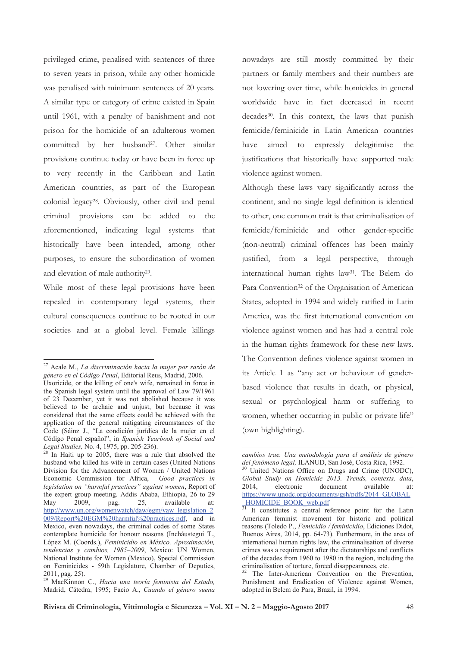privileged crime, penalised with sentences of three to seven years in prison, while any other homicide was penalised with minimum sentences of 20 years. A similar type or category of crime existed in Spain until 1961, with a penalty of banishment and not prison for the homicide of an adulterous women committed by her husband<sup>27</sup>. Other similar provisions continue today or have been in force up to very recently in the Caribbean and Latin American countries, as part of the European colonial legacy<sup>28</sup>. Obviously, other civil and penal criminal provisions can be added to the aforementioned, indicating legal systems that historically have been intended, among other purposes, to ensure the subordination of women and elevation of male authority<sup>29</sup>.

While most of these legal provisions have been repealed in contemporary legal systems, their cultural consequences continue to be rooted in our societies and at a global level. Female killings

nowadays are still mostly committed by their partners or family members and their numbers are not lowering over time, while homicides in general worldwide have in fact decreased in recent decades<sup>30</sup>. In this context, the laws that punish femicide/feminicide in Latin American countries have aimed to expressly delegitimise the justifications that historically have supported male violence against women.

Although these laws vary significantly across the continent, and no single legal definition is identical to other, one common trait is that criminalisation of femicide/feminicide and other gender-specific (non-neutral) criminal offences has been mainly justified, from a legal perspective, through international human rights law<sup>31</sup>. The Belem do Para Convention<sup>32</sup> of the Organisation of American States, adopted in 1994 and widely ratified in Latin America, was the first international convention on violence against women and has had a central role in the human rights framework for these new laws. The Convention defines violence against women in its Article 1 as "any act or behaviour of genderbased violence that results in death, or physical, sexual or psychological harm or suffering to women, whether occurring in public or private life" (own highlighting).

<sup>&</sup>lt;sup>27</sup> Acale M.. La discriminación hacia la mujer por razón de género en el Código Penal, Editorial Reus, Madrid, 2006.

Uxoricide, or the killing of one's wife, remained in force in the Spanish legal system until the approval of Law 79/1961 of 23 December, yet it was not abolished because it was believed to be archaic and unjust, but because it was considered that the same effects could be achieved with the application of the general mitigating circumstances of the Code (Sáinz J., "La condición jurídica de la mujer en el Código Penal español", in Spanish Yearbook of Social and Legal Studies, No. 4, 1975, pp. 205-236).

<sup>&</sup>lt;sup>28</sup> In Haiti up to 2005, there was a rule that absolved the husband who killed his wife in certain cases (United Nations Division for the Advancement of Women / United Nations Economic Commission for Africa, Good practices in legislation on "harmful practices" against women, Report of the expert group meeting. Addis Ababa, Ethiopia, 26 to 29 2009. 25, available May pag.  $at'$ http://www.un.org/womenwatch/daw/egm/vaw\_legislation\_2 009/Report%20EGM%20harmful%20practices.pdf, and in Mexico, even nowadays, the criminal codes of some States contemplate homicide for honour reasons (Inchaustegui T., López M. (Coords.), Feminicidio en México. Aproximación, tendencias y cambios, 1985-2009, Mexico: UN Women, National Institute for Women (Mexico), Special Commission on Feminicides - 59th Legislature, Chamber of Deputies, 2011, pag. 25).

<sup>&</sup>lt;sup>29</sup> MacKinnon C., Hacia una teoría feminista del Estado, Madrid, Cátedra, 1995; Facio A., Cuando el género suena

cambios trae. Una metodología para el análisis de género del fenómeno legal, ILANUD, San José, Costa Rica, 1992.

United Nations Office on Drugs and Crime (UNODC), Global Study on Homicide 2013. Trends, contexts, data, 2014 electronic document available  $at`$ https://www.unodc.org/documents/gsh/pdfs/2014 GLOBAL HOMICIDE BOOK web.pdf

It constitutes a central reference point for the Latin American feminist movement for historic and political reasons (Toledo P., Femicidio / feminicidio, Ediciones Didot, Buenos Aires, 2014, pp. 64-73). Furthermore, in the area of international human rights law, the criminalisation of diverse crimes was a requirement after the dictatorships and conflicts of the decades from 1960 to 1980 in the region, including the criminalisation of torture, forced disappearances, etc.

The Inter-American Convention on the Prevention, Punishment and Eradication of Violence against Women, adopted in Belem do Para, Brazil, in 1994.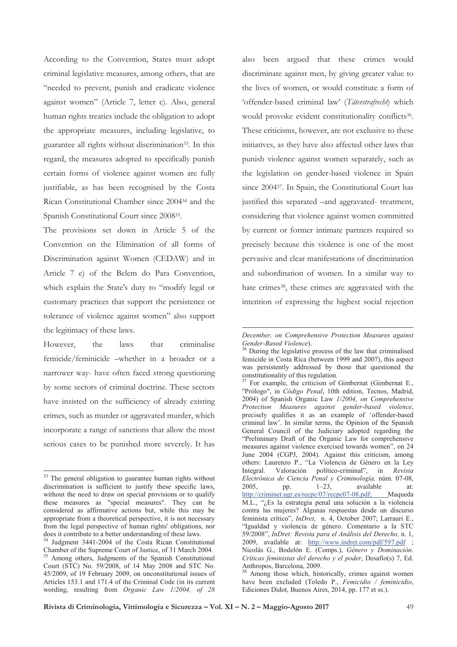According to the Convention, States must adopt criminal legislative measures, among others, that are "needed to prevent, punish and eradicate violence against women" (Article 7, letter c). Also, general human rights treaties include the obligation to adopt the appropriate measures, including legislative, to guarantee all rights without discrimination<sup>33</sup>. In this regard, the measures adopted to specifically punish certain forms of violence against women are fully justifiable, as has been recognised by the Costa Rican Constitutional Chamber since 2004<sup>34</sup> and the Spanish Constitutional Court since 2008<sup>35</sup>.

The provisions set down in Article 5 of the Convention on the Elimination of all forms of Discrimination against Women (CEDAW) and in Article 7 e) of the Belem do Para Convention, which explain the State's duty to "modify legal or customary practices that support the persistence or tolerance of violence against women" also support the legitimacy of these laws.

However, the  $laws$ that criminalise femicide/feminicide -whether in a broader or a narrower way- have often faced strong questioning by some sectors of criminal doctrine. These sectors have insisted on the sufficiency of already existing crimes, such as murder or aggravated murder, which incorporate a range of sanctions that allow the most serious cases to be punished more severely. It has

also been argued that these crimes would discriminate against men, by giving greater value to the lives of women, or would constitute a form of 'offender-based criminal law' (Täterstrafrecht) which would provoke evident constitutionality conflicts<sup>36</sup>. These criticisms, however, are not exclusive to these initiatives, as they have also affected other laws that punish violence against women separately, such as the legislation on gender-based violence in Spain since 2004<sup>37</sup>. In Spain, the Constitutional Court has justified this separated -and aggravated- treatment, considering that violence against women committed by current or former intimate partners required so precisely because this violence is one of the most pervasive and clear manifestations of discrimination and subordination of women. In a similar way to hate crimes<sup>38</sup>, these crimes are aggravated with the intention of expressing the highest social rejection

<sup>&</sup>lt;sup>33</sup> The general obligation to guarantee human rights without discrimination is sufficient to justify these specific laws, without the need to draw on special provisions or to qualify these measures as "special measures". They can be considered as affirmative actions but, while this may be appropriate from a theoretical perspective, it is not necessary from the legal perspective of human rights' obligations, nor does it contribute to a better understanding of these laws.

<sup>&</sup>lt;sup>34</sup> Judgment 3441-2004 of the Costa Rican Constitutional Chamber of the Supreme Court of Justice, of 31 March 2004. Among others, Judgments of the Spanish Constitutional Court (STC) No. 59/2008, of 14 May 2008 and STC No. 45/2009, of 19 February 2009, on unconstitutional issues of Articles 153.1 and 171.4 of the Criminal Code (in its current wording, resulting from Organic Law 1/2004, of 28

December, on Comprehensive Protection Measures against Gender-Based Violence).

During the legislative process of the law that criminalised femicide in Costa Rica (between 1999 and 2007), this aspect was persistently addressed by those that questioned the constitutionality of this regulation.

<sup>&</sup>lt;sup>37</sup> For example, the criticism of Gimbernat (Gimbernat E., "Prólogo", in Código Penal, 10th edition, Tecnos, Madrid, 2004) of Spanish Organic Law 1/2004, on Comprehensive Protection Measures against gender-based violence, precisely qualifies it as an example of 'offender-based criminal law'. In similar terms, the Opinion of the Spanish General Council of the Judiciary adopted regarding the "Preliminary Draft of the Organic Law for comprehensive measures against violence exercised towards women", on 24 June 2004 (CGPJ, 2004). Against this criticism, among others: Laurenzo P., "La Violencia de Género en la Ley  $in$ Valoración político-criminal", Integral. Revista Electrónica de Ciencia Penal y Criminología, núm. 07-08,  $1 - 23$ . 2005. available pp.  $at`$ http://criminet.ugr.es/recpc/07/recpc07-08.pdf; Maqueda M.L., "¿Es la estrategia penal una solución a la violencia contra las mujeres? Algunas respuestas desde un discurso feminista crítico", InDret, n. 4, October 2007; Larrauri E., "Igualdad y violencia de género. Comentario a la STC 59/2008", InDret: Revista para el Análisis del Derecho, n. 1, 2009, available at: http://www.indret.com/pdf/597.pdf ; Nicolás G., Bodelón E. (Comps.), Género y Dominación. Críticas feministas del derecho y el poder, Desafío(s) 7, Ed. Anthropos, Barcelona, 2009.<br><sup>38</sup> Among those which, historically, crimes against women

have been excluded (Toledo P., Femicidio / feminicidio, Ediciones Didot, Buenos Aires, 2014, pp. 177 et ss.).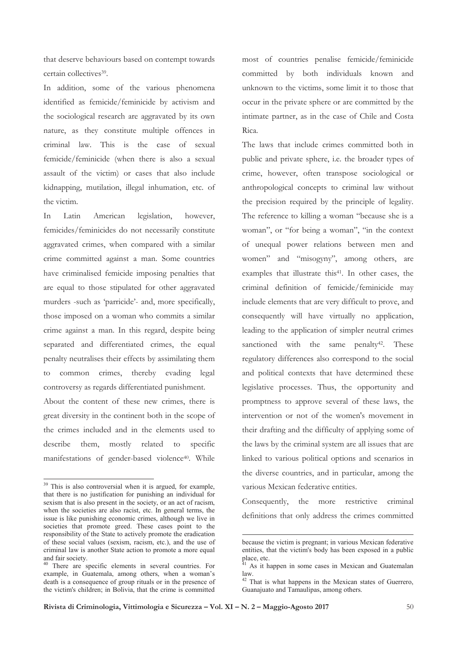that deserve behaviours based on contempt towards certain collectives<sup>39</sup>.

In addition, some of the various phenomena identified as femicide/feminicide by activism and the sociological research are aggravated by its own nature, as they constitute multiple offences in criminal law. This is the case of sexual femicide/feminicide (when there is also a sexual assault of the victim) or cases that also include kidnapping, mutilation, illegal inhumation, etc. of the victim.

In Latin American legislation. however. femicides/feminicides do not necessarily constitute aggravated crimes, when compared with a similar crime committed against a man. Some countries have criminalised femicide imposing penalties that are equal to those stipulated for other aggravated murders -such as 'parricide'- and, more specifically, those imposed on a woman who commits a similar crime against a man. In this regard, despite being separated and differentiated crimes, the equal penalty neutralises their effects by assimilating them to common crimes, thereby evading legal controversy as regards differentiated punishment.

About the content of these new crimes, there is great diversity in the continent both in the scope of the crimes included and in the elements used to describe them, mostly related to specific manifestations of gender-based violence<sup>40</sup>. While most of countries penalise femicide/feminicide committed by both individuals known and unknown to the victims, some limit it to those that occur in the private sphere or are committed by the intimate partner, as in the case of Chile and Costa Rica.

The laws that include crimes committed both in public and private sphere, i.e. the broader types of crime, however, often transpose sociological or anthropological concepts to criminal law without the precision required by the principle of legality. The reference to killing a woman "because she is a woman", or "for being a woman", "in the context of unequal power relations between men and women" and "misogyny", among others, are examples that illustrate this<sup>41</sup>. In other cases, the criminal definition of femicide/feminicide may include elements that are very difficult to prove, and consequently will have virtually no application, leading to the application of simpler neutral crimes sanctioned with the same penalty<sup>42</sup>. These regulatory differences also correspond to the social and political contexts that have determined these legislative processes. Thus, the opportunity and promptness to approve several of these laws, the intervention or not of the women's movement in their drafting and the difficulty of applying some of the laws by the criminal system are all issues that are linked to various political options and scenarios in the diverse countries, and in particular, among the various Mexican federative entities.

Consequently, the more restrictive criminal definitions that only address the crimes committed

<sup>&</sup>lt;sup>39</sup> This is also controversial when it is argued, for example, that there is no justification for punishing an individual for sexism that is also present in the society, or an act of racism, when the societies are also racist, etc. In general terms, the issue is like punishing economic crimes, although we live in societies that promote greed. These cases point to the responsibility of the State to actively promote the eradication of these social values (sexism, racism, etc.), and the use of criminal law is another State action to promote a more equal and fair society.

There are specific elements in several countries. For example, in Guatemala, among others, when a woman's death is a consequence of group rituals or in the presence of the victim's children; in Bolivia, that the crime is committed

because the victim is pregnant; in various Mexican federative entities, that the victim's body has been exposed in a public place, etc.

As it happen in some cases in Mexican and Guatemalan law.

<sup>&</sup>lt;sup>42</sup> That is what happens in the Mexican states of Guerrero, Guanajuato and Tamaulipas, among others.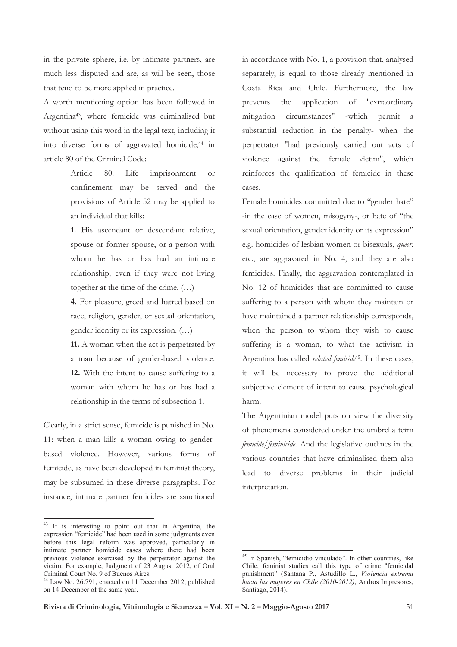in the private sphere, i.e. by intimate partners, are much less disputed and are, as will be seen, those that tend to be more applied in practice.

A worth mentioning option has been followed in Argentina<sup>43</sup>, where femicide was criminalised but without using this word in the legal text, including it into diverse forms of aggravated homicide,<sup>44</sup> in article 80 of the Criminal Code:

> Article  $80:$ Life imprisonment  $\alpha$ r confinement may be served and the provisions of Article 52 may be applied to an individual that kills:

> 1. His ascendant or descendant relative, spouse or former spouse, or a person with whom he has or has had an intimate relationship, even if they were not living together at the time of the crime.  $(...)$

> 4. For pleasure, greed and hatred based on race, religion, gender, or sexual orientation, gender identity or its expression. (...)

> 11. A woman when the act is perpetrated by a man because of gender-based violence. 12. With the intent to cause suffering to a woman with whom he has or has had a relationship in the terms of subsection 1.

Clearly, in a strict sense, femicide is punished in No. 11: when a man kills a woman owing to genderbased violence. However, various forms of femicide, as have been developed in feminist theory, may be subsumed in these diverse paragraphs. For instance, intimate partner femicides are sanctioned

<sup>43</sup> It is interesting to point out that in Argentina, the expression "femicide" had been used in some judgments even before this legal reform was approved, particularly in intimate partner homicide cases where there had been previous violence exercised by the perpetrator against the victim. For example, Judgment of 23 August 2012, of Oral Criminal Court No. 9 of Buenos Aires.

in accordance with No. 1, a provision that, analysed separately, is equal to those already mentioned in Costa Rica and Chile. Furthermore, the law application  $\sigma$ "extraordinary prevents the circumstances" mitigation -which permit a substantial reduction in the penalty- when the perpetrator "had previously carried out acts of violence against the female victim", which reinforces the qualification of femicide in these cases

Female homicides committed due to "gender hate" -in the case of women, misogyny-, or hate of "the sexual orientation, gender identity or its expression" e.g. homicides of lesbian women or bisexuals, queer, etc., are aggravated in No. 4, and they are also femicides. Finally, the aggravation contemplated in No. 12 of homicides that are committed to cause suffering to a person with whom they maintain or have maintained a partner relationship corresponds, when the person to whom they wish to cause suffering is a woman, to what the activism in Argentina has called *related femicide*<sup>45</sup>. In these cases, it will be necessary to prove the additional subjective element of intent to cause psychological harm.

The Argentinian model puts on view the diversity of phenomena considered under the umbrella term *femicide/feminicide*. And the legislative outlines in the various countries that have criminalised them also lead to diverse problems in their judicial interpretation.

<sup>&</sup>lt;sup>44</sup> Law No. 26.791, enacted on 11 December 2012, published on 14 December of the same year.

In Spanish, "femicidio vinculado". In other countries, like Chile, feminist studies call this type of crime "femicidal punishment" (Santana P., Astudillo L., Violencia extrema hacia las mujeres en Chile (2010-2012), Andros Impresores, Santiago, 2014).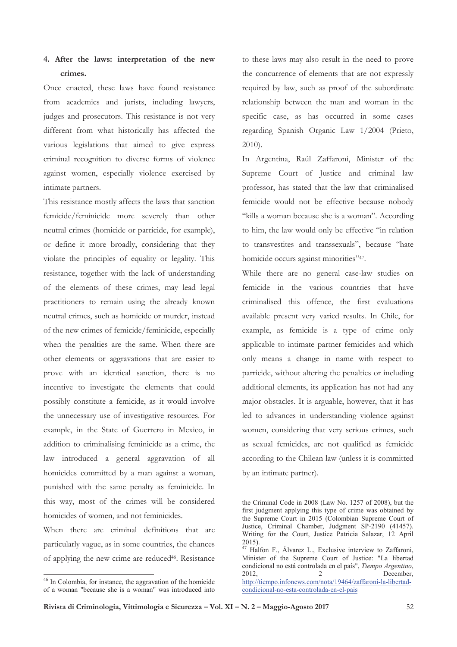# 4. After the laws: interpretation of the new crimes.

Once enacted, these laws have found resistance from academics and jurists, including lawyers, judges and prosecutors. This resistance is not very different from what historically has affected the various legislations that aimed to give express criminal recognition to diverse forms of violence against women, especially violence exercised by intimate partners.

This resistance mostly affects the laws that sanction femicide/feminicide more severely than other neutral crimes (homicide or parricide, for example), or define it more broadly, considering that they violate the principles of equality or legality. This resistance, together with the lack of understanding of the elements of these crimes, may lead legal practitioners to remain using the already known neutral crimes, such as homicide or murder, instead of the new crimes of femicide/feminicide, especially when the penalties are the same. When there are other elements or aggravations that are easier to prove with an identical sanction, there is no incentive to investigate the elements that could possibly constitute a femicide, as it would involve the unnecessary use of investigative resources. For example, in the State of Guerrero in Mexico, in addition to criminalising feminicide as a crime, the law introduced a general aggravation of all homicides committed by a man against a woman, punished with the same penalty as feminicide. In this way, most of the crimes will be considered homicides of women, and not feminicides.

When there are criminal definitions that are particularly vague, as in some countries, the chances of applying the new crime are reduced<sup>46</sup>. Resistance to these laws may also result in the need to prove the concurrence of elements that are not expressly required by law, such as proof of the subordinate relationship between the man and woman in the specific case, as has occurred in some cases regarding Spanish Organic Law 1/2004 (Prieto,  $2010$ ).

In Argentina, Raúl Zaffaroni, Minister of the Supreme Court of Justice and criminal law professor, has stated that the law that criminalised femicide would not be effective because nobody "kills a woman because she is a woman". According to him, the law would only be effective "in relation to transvestites and transsexuals", because "hate homicide occurs against minorities"47.

While there are no general case-law studies on femicide in the various countries that have criminalised this offence, the first evaluations available present very varied results. In Chile, for example, as femicide is a type of crime only applicable to intimate partner femicides and which only means a change in name with respect to parricide, without altering the penalties or including additional elements, its application has not had any major obstacles. It is arguable, however, that it has led to advances in understanding violence against women, considering that very serious crimes, such as sexual femicides, are not qualified as femicide according to the Chilean law (unless it is committed by an intimate partner).

<sup>&</sup>lt;sup>46</sup> In Colombia, for instance, the aggravation of the homicide of a woman "because she is a woman" was introduced into

the Criminal Code in 2008 (Law No. 1257 of 2008), but the first judgment applying this type of crime was obtained by the Supreme Court in 2015 (Colombian Supreme Court of Justice, Criminal Chamber, Judgment SP-2190 (41457). Writing for the Court, Justice Patricia Salazar, 12 April  $2015$ ).

<sup>&</sup>lt;sup>47</sup> Halfon F., Álvarez L., Exclusive interview to Zaffaroni, Minister of the Supreme Court of Justice: "La libertad condicional no está controlada en el país", Tiempo Argentino, 2012,  $\overline{2}$ December, http://tiempo.infonews.com/nota/19464/zaffaroni-la-libertadcondicional-no-esta-controlada-en-el-pais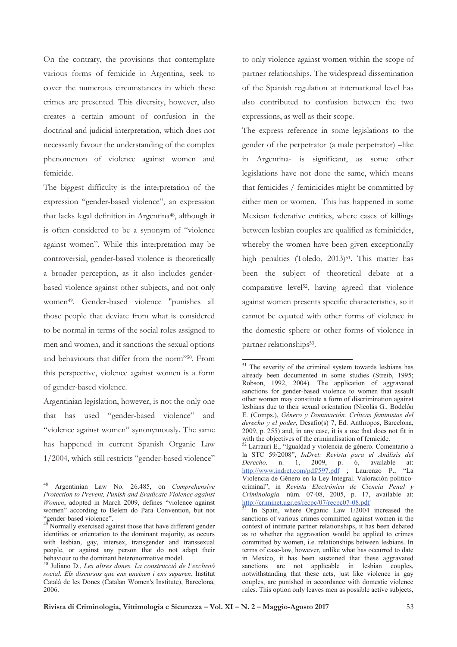On the contrary, the provisions that contemplate various forms of femicide in Argentina, seek to cover the numerous circumstances in which these crimes are presented. This diversity, however, also creates a certain amount of confusion in the doctrinal and judicial interpretation, which does not necessarily favour the understanding of the complex phenomenon of violence against women and femicide.

The biggest difficulty is the interpretation of the expression "gender-based violence", an expression that lacks legal definition in Argentina<sup>48</sup>, although it is often considered to be a synonym of "violence against women". While this interpretation may be controversial, gender-based violence is theoretically a broader perception, as it also includes genderbased violence against other subjects, and not only women<sup>49</sup>. Gender-based violence "punishes all those people that deviate from what is considered to be normal in terms of the social roles assigned to men and women, and it sanctions the sexual options and behaviours that differ from the norm"50. From this perspective, violence against women is a form of gender-based violence.

Argentinian legislation, however, is not the only one that has used "gender-based violence" and "violence against women" synonymously. The same has happened in current Spanish Organic Law 1/2004, which still restricts "gender-based violence" to only violence against women within the scope of partner relationships. The widespread dissemination of the Spanish regulation at international level has also contributed to confusion between the two expressions, as well as their scope.

The express reference in some legislations to the gender of the perpetrator (a male perpetrator) -like in Argentina- is significant, as some other legislations have not done the same, which means that femicides / feminicides might be committed by either men or women. This has happened in some Mexican federative entities, where cases of killings between lesbian couples are qualified as feminicides, whereby the women have been given exceptionally high penalties (Toledo, 2013)<sup>51</sup>. This matter has been the subject of theoretical debate at a comparative level<sup>52</sup>, having agreed that violence against women presents specific characteristics, so it cannot be equated with other forms of violence in the domestic sphere or other forms of violence in partner relationships<sup>53</sup>.

 $48\,$ Argentinian Law No. 26.485, on Comprehensive Protection to Prevent, Punish and Eradicate Violence against Women, adopted in March 2009, defines "violence against women" according to Belem do Para Convention, but not "gender-based violence".

Normally exercised against those that have different gender identities or orientation to the dominant majority, as occurs with lesbian, gay, intersex, transgender and transsexual people, or against any person that do not adapt their behaviour to the dominant heteronormative model.

<sup>&</sup>lt;sup>50</sup> Juliano D., Les altres dones. La construcció de l'exclusió social. Els discursos que ens uneixen i ens separen, Institut Català de les Dones (Catalan Women's Institute), Barcelona, 2006.

<sup>&</sup>lt;sup>51</sup> The severity of the criminal system towards lesbians has already been documented in some studies (Streib, 1995; Robson, 1992, 2004). The application of aggravated sanctions for gender-based violence to women that assault other women may constitute a form of discrimination against lesbians due to their sexual orientation (Nicolás G., Bodelón E. (Comps.), Género y Dominación. Críticas feministas del derecho y el poder, Desafío(s) 7, Ed. Anthropos, Barcelona, 2009, p. 255) and, in any case, it is a use that does not fit in with the objectives of the criminalisation of femicide.<br> $52$  Larrauri E., "Igualdad y violencia de género. Comentario a

la STC 59/2008", InDret: Revista para el Análisis del 6, available n. 1, 2009, p. Derecho, at:  $\frac{http://www.indret.com/pdf/597.pdf}{http://www.indret.com/pdf/597.pdf}$ ; Laurenzo P.,  $\mathbf{H}$  a Violencia de Género en la Ley Integral. Valoración políticocriminal", in Revista Electrónica de Ciencia Penal y Criminología, núm. 07-08, 2005, p. 17, available at: http://criminet.ugr.es/recpc/07/recpc07-08.pdf

In Spain, where Organic Law 1/2004 increased the sanctions of various crimes committed against women in the context of intimate partner relationships, it has been debated as to whether the aggravation would be applied to crimes committed by women, i.e. relationships between lesbians. In terms of case-law, however, unlike what has occurred to date in Mexico, it has been sustained that these aggravated sanctions are not applicable in lesbian couples, notwithstanding that these acts, just like violence in gay couples, are punished in accordance with domestic violence rules. This option only leaves men as possible active subjects,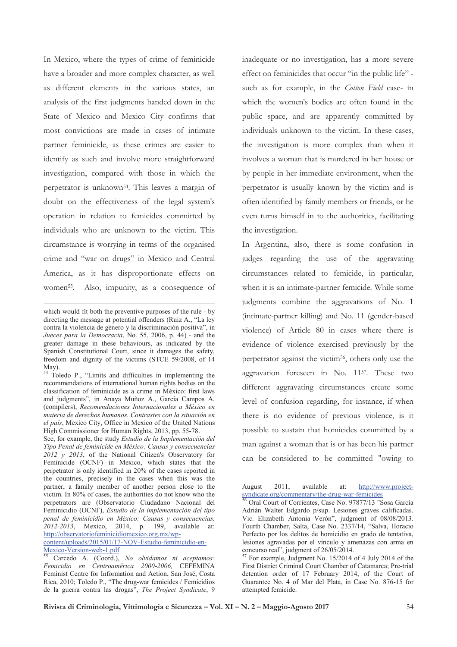In Mexico, where the types of crime of feminicide have a broader and more complex character, as well as different elements in the various states, an analysis of the first judgments handed down in the State of Mexico and Mexico City confirms that most convictions are made in cases of intimate partner feminicide, as these crimes are easier to identify as such and involve more straightforward investigation, compared with those in which the perpetrator is unknown<sup>54</sup>. This leaves a margin of doubt on the effectiveness of the legal system's operation in relation to femicides committed by individuals who are unknown to the victim. This circumstance is worrying in terms of the organised crime and "war on drugs" in Mexico and Central America, as it has disproportionate effects on women<sup>55</sup>. Also, impunity, as a consequence of

 $\overline{a}$ 

<sup>54</sup> Toledo P., "Limits and difficulties in implementing the recommendations of international human rights bodies on the classification of feminicide as a crime in México: first laws and judgments", in Anaya Muñoz A., García Campos A. (compilers), *Recomendaciones Internacionales a México en materia de derechos humanos. Contrastes con la situación en el país*, Mexico City, Office in Mexico of the United Nations High Commissioner for Human Rights, 2013, pp. 55-78.

See, for example, the study *Estudio de la Implementación del Tipo Penal de feminicide en México: Causas y consecuencias 2012 y 2013*, of the National Citizen's Observatory for Feminicide (OCNF) in Mexico, which states that the perpetrator is only identified in 20% of the cases reported in the countries, precisely in the cases when this was the partner, a family member of another person close to the victim. In 80% of cases, the authorities do not know who the perpetrators are (Observatorio Ciudadano Nacional del Feminicidio (OCNF), *Estudio de la implementación del tipo penal de feminicidio en México: Causas y consecuencias. 2012-2013*, Mexico, 2014, p. 199, available at: http://observatoriofeminicidiomexico.org.mx/wp-

content/uploads/2015/01/17-NOV-Estudio-feminicidio-en-Mexico-Version-web-1.pdf

<sup>55</sup> Carcedo A. (Coord.), *No olvidamos ni aceptamos: Femicidio en Centroamérica 2000-2006,* CEFEMINA Feminist Centre for Information and Action, San José, Costa Rica, 2010; Toledo P., "The drug-war femicides / Femicidios de la guerra contra las drogas", *The Project Syndicate*, 9 inadequate or no investigation, has a more severe effect on feminicides that occur "in the public life" such as for example, in the Cotton Field case- in which the women's bodies are often found in the public space, and are apparently committed by individuals unknown to the victim. In these cases, the investigation is more complex than when it involves a woman that is murdered in her house or by people in her immediate environment, when the perpetrator is usually known by the victim and is often identified by family members or friends, or he even turns himself in to the authorities, facilitating the investigation.

In Argentina, also, there is some confusion in judges regarding the use of the aggravating circumstances related to femicide, in particular, when it is an intimate-partner femicide. While some judgments combine the aggravations of No. 1 (intimate-partner killing) and No. 11 (gender-based violence) of Article 80 in cases where there is evidence of violence exercised previously by the perpetrator against the victim<sup>56</sup>, others only use the aggravation foreseen in No. 1157. These two different aggravating circumstances create some level of confusion regarding, for instance, if when there is no evidence of previous violence, is it possible to sustain that homicides committed by a man against a woman that is or has been his partner can be considered to be committed "owing to

August 2011, available at: http://www.projectsyndicate.org/commentary/the-drug-war-femicides

1

which would fit both the preventive purposes of the rule - by directing the message at potential offenders (Ruiz A., "La ley contra la violencia de género y la discriminación positiva", in *Jueces para la Democracia*, No. 55, 2006, p. 44) - and the greater damage in these behaviours, as indicated by the Spanish Constitutional Court, since it damages the safety, freedom and dignity of the victims (STCE 59/2008, of 14 May).

<sup>56</sup> Oral Court of Corrientes, Case No. 97877/13 "Sosa García Adrián Walter Edgardo p/sup. Lesiones graves calificadas. Vic. Elizabeth Antonia Verón", judgment of 08/08/2013. Fourth Chamber, Salta, Case No. 2337/14, "Salva, Horacio Perfecto por los delitos de homicidio en grado de tentativa, lesiones agravadas por el vínculo y amenazas con arma en concurso real", judgment of  $26/05/2014$ .

<sup>57</sup> For example, Judgment No. 15/2014 of 4 July 2014 of the First District Criminal Court Chamber of Catamarca; Pre-trial detention order of 17 February 2014, of the Court of Guarantee No. 4 of Mar del Plata, in Case No. 876-15 for attempted femicide.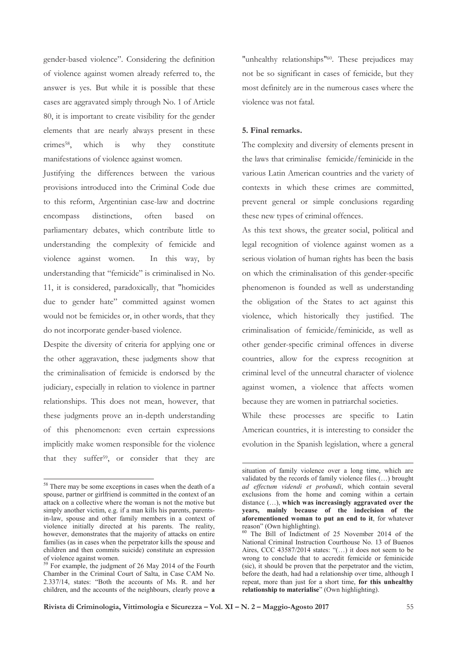gender-based violence". Considering the definition of violence against women already referred to, the answer is yes. But while it is possible that these cases are aggravated simply through No. 1 of Article 80, it is important to create visibility for the gender elements that are nearly always present in these crimes<sup>58</sup>. which  $is$ why they constitute manifestations of violence against women.

Justifying the differences between the various provisions introduced into the Criminal Code due to this reform, Argentinian case-law and doctrine encompass distinctions. often based  $\alpha$ parliamentary debates, which contribute little to understanding the complexity of femicide and violence against women. In this way, by understanding that "femicide" is criminalised in No. 11, it is considered, paradoxically, that "homicides due to gender hate" committed against women would not be femicides or, in other words, that they do not incorporate gender-based violence.

Despite the diversity of criteria for applying one or the other aggravation, these judgments show that the criminalisation of femicide is endorsed by the judiciary, especially in relation to violence in partner relationships. This does not mean, however, that these judgments prove an in-depth understanding of this phenomenon: even certain expressions implicitly make women responsible for the violence that they suffer<sup>59</sup>, or consider that they are "unhealthy relationships"<sup>60</sup>. These prejudices may not be so significant in cases of femicide, but they most definitely are in the numerous cases where the violence was not fatal.

## 5. Final remarks.

The complexity and diversity of elements present in the laws that criminalise femicide/feminicide in the various Latin American countries and the variety of contexts in which these crimes are committed, prevent general or simple conclusions regarding these new types of criminal offences.

As this text shows, the greater social, political and legal recognition of violence against women as a serious violation of human rights has been the basis on which the criminalisation of this gender-specific phenomenon is founded as well as understanding the obligation of the States to act against this violence, which historically they justified. The criminalisation of femicide/feminicide, as well as other gender-specific criminal offences in diverse countries, allow for the express recognition at criminal level of the unneutral character of violence against women, a violence that affects women because they are women in patriarchal societies.

While these processes are specific to Latin American countries, it is interesting to consider the evolution in the Spanish legislation, where a general

<sup>&</sup>lt;sup>58</sup> There may be some exceptions in cases when the death of a spouse, partner or girlfriend is committed in the context of an attack on a collective where the woman is not the motive but simply another victim, e.g. if a man kills his parents, parentsin-law, spouse and other family members in a context of violence initially directed at his parents. The reality, however, demonstrates that the majority of attacks on entire families (as in cases when the perpetrator kills the spouse and children and then commits suicide) constitute an expression of violence against women.

<sup>&</sup>lt;sup>59</sup> For example, the judgment of 26 May 2014 of the Fourth Chamber in the Criminal Court of Salta, in Case CAM No. 2.337/14, states: "Both the accounts of Ms. R. and her children, and the accounts of the neighbours, clearly prove a

situation of family violence over a long time, which are validated by the records of family violence files (...) brought ad effectum videndi et probandi, which contain several exclusions from the home and coming within a certain  $distance$  (...), which was increasingly aggravated over the years, mainly because of the indecision of the aforementioned woman to put an end to it, for whatever reason" (Own highlighting).

<sup>&</sup>lt;sup>60</sup> The Bill of Indictment of 25 November 2014 of the National Criminal Instruction Courthouse No. 13 of Buenos Aires, CCC 43587/2014 states: " $(...)$  it does not seem to be wrong to conclude that to accredit femicide or feminicide (sic), it should be proven that the perpetrator and the victim, before the death, had had a relationship over time, although I repeat, more than just for a short time, for this unhealthy relationship to materialise" (Own highlighting).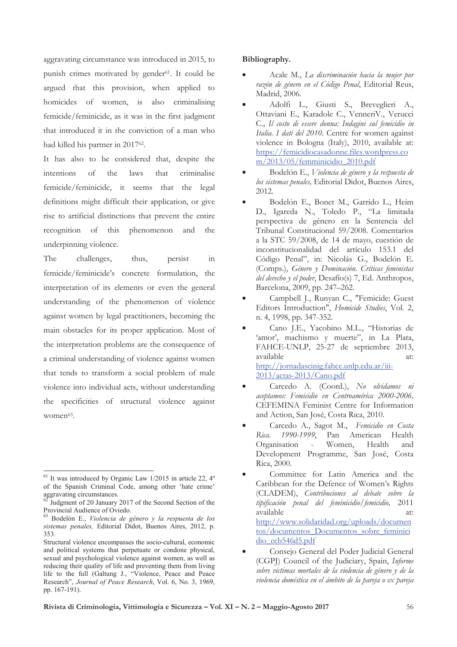aggravating circumstance was introduced in 2015, to punish crimes motivated by gender<sup>61</sup>. It could be argued that this provision, when applied to homicides of women, is also criminalising femicide/feminicide, as it was in the first judgment that introduced it in the conviction of a man who had killed his partner in 201762.

It has also to be considered that, despite the intentions  $\sigma$ f the laws that criminalise femicide/feminicide, it seems that the legal definitions might difficult their application, or give rise to artificial distinctions that prevent the entire recognition of this phenomenon and the underpinning violence.

The challenges, thus. persist  $\overline{\text{in}}$ femicide/feminicide's concrete formulation, the interpretation of its elements or even the general understanding of the phenomenon of violence against women by legal practitioners, becoming the main obstacles for its proper application. Most of the interpretation problems are the consequence of a criminal understanding of violence against women that tends to transform a social problem of male violence into individual acts, without understanding the specificities of structural violence against women<sup>63</sup>.

## Bibliography.

- Acale M., La discriminación hacia la mujer por razón de género en el Código Penal, Editorial Reus, Madrid, 2006.
- Adolfi L., Giusti S., Breveglieri A., Ottaviani E., Karadole C., VenneriV., Verucci C., Il costo di essere donna: Indagini sul femicidio in Italia. I dati del 2010. Centre for women against violence in Bologna (Italy), 2010, available at: https://femicidiocasadonne.files.wordpress.co m/2013/05/femminicidio 2010.pdf
- Bodelón E., Violencia de género y la respuesta de los sistemas penales, Editorial Didot, Buenos Aires, 2012.
- Bodelón E., Bonet M., Garrido L., Heim D., Igareda N., Toledo P., "La limitada perspectiva de género en la Sentencia del Tribunal Constitucional 59/2008. Comentarios a la STC 59/2008, de 14 de mayo, cuestión de inconstitucionalidad del artículo 153.1 del Código Penal", in: Nicolás G., Bodelón E. (Comps.), Género y Dominación. Críticas feministas del derecho y el poder, Desafío(s) 7, Ed. Anthropos, Barcelona, 2009, pp. 247-262.
- Campbell J., Runyan C., "Femicide: Guest Editors Introduction", Homicide Studies, Vol. 2, n. 4, 1998, pp. 347-352.
- Cano J.E., Yacobino M.L., "Historias de 'amor', machismo y muerte", in La Plata, FAHCE-UNLP, 25-27 de septiembre 2013, available  $at$ <sup>+</sup> http://jornadascinig.fahce.unlp.edu.ar/iii-2013/actas-2013/Cano.pdf
- Carcedo A. (Coord.), No olvidamos ni aceptamos: Femicidio en Centroamérica 2000-2006, CEFEMINA Feminist Centre for Information and Action, San José, Costa Rica, 2010.
- Carcedo A., Sagot M., Femicidio en Costa Rica. 1990-1999, Pan American Health Organisation Women, Health and  $\sim 10^{-1}$ Development Programme, San José, Costa Rica, 2000.
- Committee for Latin America and the Caribbean for the Defence of Women's Rights (CLADEM), Contribuciones al debate sobre la tipificación penal del feminicidio/femicidio, 2011 available at: http://www.solidaridad.org/uploads/documen tos/documentos Documentos sobre feminici dio ecb546d5.pdf
- Consejo General del Poder Judicial General (CGPJ) Council of the Judiciary, Spain, Informe sobre víctimas mortales de la violencia de género y de la violencia doméstica en el ámbito de la pareja o ex pareja

 $^{61}$  It was introduced by Organic Law 1/2015 in article 22, 4° of the Spanish Criminal Code, among other 'hate crime' aggravating circumstances.

 $62$  Judgment of 20 January 2017 of the Second Section of the Provincial Audience of Oviedo.

Bodelón E., Violencia de género y la respuesta de los sistemas penales. Editorial Didot. Buenos Aires, 2012, p. 353

Structural violence encompasses the socio-cultural, economic and political systems that perpetuate or condone physical, sexual and psychological violence against women, as well as reducing their quality of life and preventing them from living life to the full (Galtung J., "Violence, Peace and Peace Research", Journal of Peace Research, Vol. 6, No. 3, 1969, pp. 167-191).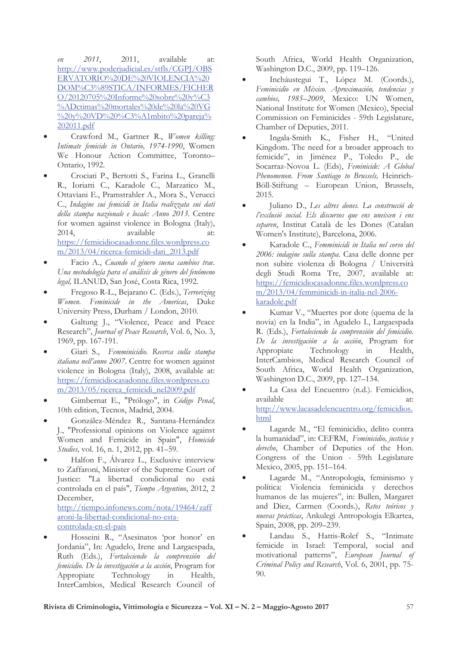$2011,$  $e<sub>n</sub>$  $2011,$ available at: http://www.poderjudicial.es/stfls/CGPJ/OBS ERVATORIO%20DE%20VIOLENCIA%20 DOM%C3%89STICA/INFORMES/FICHER O/20120705%20Informe%20sobre%20v%C3 %ADctimas%20mortales%20de%20la%20VG %20v%20VD%20%C3%A1mbito%20pareja% 202011.pdf

- Crawford M., Gartner R., Women killing: Intimate femicide in Ontario, 1974-1990, Women We Honour Action Committee, Toronto-Ontario, 1992.
- Crociati P., Bertotti S., Farina L., Granelli R., Ioriatti C., Karadole C., Marzatico M., Ottaviani E., Pramstrahler A., Mora S., Verucci C., Indagine sui femicidi in Italia realizzata sui dati della stampa nazionale e locale: Anno 2013. Centre for women against violence in Bologna (Italy), 2014, available at: https://femicidiocasadonne.files.wordpress.co m/2013/04/ricerca-femicidi-dati 2013.pdf
- Facio A., Cuando el género suena cambios trae. Una metodología para el análisis de género del fenómeno legal, ILANUD, San José, Costa Rica, 1992.
- Fregoso R-L., Bejarano C. (Eds.), Terrorizing Women. Feminicide in the Americas, Duke University Press, Durham / London, 2010.
- Galtung J., "Violence, Peace and Peace Research", Journal of Peace Research, Vol. 6, No. 3, 1969, pp. 167-191.
- Giari S., Femminicidio. Recerca sulla stampa italiana nell'anno 2007. Centre for women against violence in Bologna (Italy), 2008, available at: https://femicidiocasadonne.files.wordpress.co m/2013/05/ricerca femicidi nel2009.pdf
- Gimbernat E., "Prólogo", in Código Penal, 10th edition, Tecnos, Madrid, 2004.
- González-Méndez R., Santana-Hernández J., "Professional opinions on Violence against Women and Femicide in Spain", Homicide Studies, vol. 16, n. 1, 2012, pp. 41-59.
- Halfon F., Álvarez L., Exclusive interview to Zaffaroni, Minister of the Supreme Court of Justice: "La libertad condicional no está controlada en el país", Tiempo Argentino, 2012, 2 December, http://tiempo.infonews.com/nota/19464/zaff aroni-la-libertad-condicional-no-estacontrolada-en-el-pais
- Hosseini R., "Asesinatos 'por honor' en Jordania", In: Agudelo, Irene and Largaespada, Ruth (Eds.), Fortaleciendo la comprensión del femicidio. De la investigación a la acción, Program for Appropiate Technology  $in$ Health, InterCambios, Medical Research Council of

South Africa, World Health Organization, Washington D.C., 2009, pp. 119-126.

- Incháustegui T., López M. (Coords.), Feminicidio en México. Aproximación, tendencias y cambios, 1985-2009, Mexico: UN Women, National Institute for Women (Mexico), Special Commission on Feminicides - 59th Legislature, Chamber of Deputies, 2011.
- Ingala-Smith K., Fisher H., "United Kingdom. The need for a broader approach to femicide", in Jiménez P., Toledo P., de Socarraz-Novoa L. (Eds), Feminicide: A Global Phenomenon. From Santiago to Brussels, Heinrich-Böll-Stiftung – European Union, Brussels, 2015.
- Juliano D., Les altres dones. La construcció de l'exclusió social. Els discursos que ens uneixen i ens separen, Institut Català de les Dones (Catalan Women's Institute), Barcelona, 2006.
- Karadole C., Femminicidi in Italia nel corso del 2006: indagine sulla stampa. Casa delle donne per non subire violenza di Bologna / Università degli Studi Roma Tre, 2007, available at: https://femicidiocasadonne.files.wordpress.co m/2013/04/femminicidi-in-italia-nel-2006karadole.pdf
- Kumar V., "Muertes por dote (quema de la novia) en la India", in Agudelo I., Largaespada R. (Eds.), Fortaleciendo la comprensión del femicidio. De la investigación a la acción, Program for Appropiate Technology  $\operatorname{in}$ Health, InterCambios, Medical Research Council of South Africa, World Health Organization, Washington D.C., 2009, pp. 127–134.
- La Casa del Encuentro (n.d.). Femicidios, available at: http://www.lacasadelencuentro.org/femicidios. html
- Lagarde M., "El feminicidio, delito contra la humanidad", in: CEFRM, Feminicidio, justicia y derecho, Chamber of Deputies of the Hon. Congress of the Union - 59th Legislature Mexico, 2005, pp. 151–164.
- Lagarde M., "Antropología, feminismo y política: Violencia feminicida y derechos humanos de las mujeres", in: Bullen, Margaret and Diez, Carmen (Coords.), Retos teóricos y nuevas prácticas, Ankulegi Antropologia Elkartea, Spain, 2008, pp. 209-239.
- Landau S., Hattis-Rolef S., "Intimate femicide in Israel: Temporal, social and motivational patterns", European Journal of Criminal Policy and Research, Vol. 6, 2001, pp. 75-90.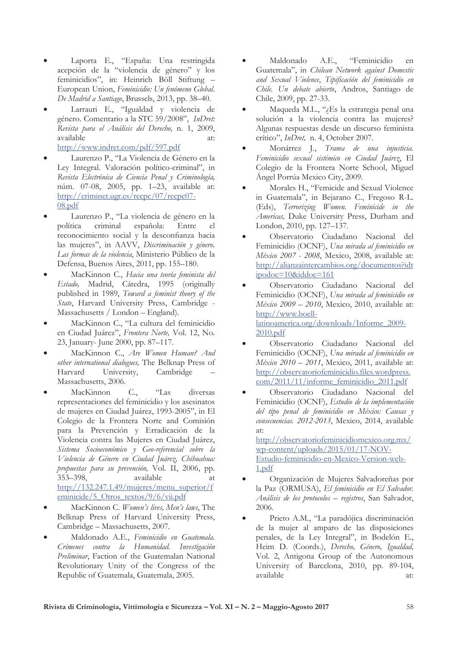- Laporta E., "España: Una restringida acepción de la "violencia de género" y los feminicidios", in: Heinrich Böll Stiftung -European Union, Feminicidio: Un fenómeno Global. De Madrid a Santiago, Brussels, 2013, pp. 38–40.
- Larrauri E., "Igualdad y violencia de género. Comentario a la STC 59/2008", InDret: Revista para el Análisis del Derecho, n. 1, 2009, available  $2<sup>†</sup>$

http://www.indret.com/pdf/597.pdf

- Laurenzo P., "La Violencia de Género en la Ley Integral. Valoración político-criminal", in Revista Electrónica de Ciencia Penal y Criminología, núm. 07-08, 2005, pp. 1-23, available at: http://criminet.ugr.es/recpc/07/recpc07-08.pdf
- Laurenzo P., "La violencia de género en la política criminal española: Entre  $\epsilon$ reconocimiento social y la desconfianza hacia las mujeres", in AAVV, Discriminación y género. Las formas de la violencia, Ministerio Público de la Defensa, Buenos Aires, 2011, pp. 155-180.
- MacKinnon C., Hacia una teoría feminista del Estado, Madrid, Cátedra, 1995 (originally published in 1989, Toward a feminist theory of the State, Harvard University Press, Cambridge -Massachusetts / London - England).
- MacKinnon C., "La cultura del feminicidio en Ciudad Juárez", Frontera Norte, Vol. 12, No. 23, January-June 2000, pp. 87-117.
- MacKinnon C., Are Women Human? And other international dialogues, The Belknap Press of Harvard University, Cambridge Massachusetts, 2006.
- $C_{\cdot}$  $\mathcal{F}_{\text{as}}$ MacKinnon diversas representaciones del feminicidio y los asesinatos de mujeres en Ciudad Juárez, 1993-2005", in El Colegio de la Frontera Norte and Comisión para la Prevención y Erradicación de la Violencia contra las Mujeres en Ciudad Juárez, Sistema Socioeconómico y Geo-referencial sobre la Violencia de Género en Ciudad Juárez, Chihuahua: propuestas para su prevención, Vol. II, 2006, pp. 353-398, available at http://132.247.1.49/mujeres/menu superior/f eminicide/5 Otros textos/9/6/vii.pdf
- MacKinnon C. Women's lives, Men's laws, The Belknap Press of Harvard University Press, Cambridge - Massachusetts, 2007.
- Maldonado A.E., Feminicidio en Guatemala. Crímenes contra la Humanidad. Investigación Preliminar, Faction of the Guatemalan National Revolutionary Unity of the Congress of the Republic of Guatemala, Guatemala, 2005.
- Maldonado A.E., "Feminicidio en Guatemala", in Chilean Network against Domestic and Sexual Violence, Tipificación del feminicidio en Chile. Un debate abierto, Andros, Santiago de Chile, 2009, pp. 27-33.
- Maqueda M.L., "¿Es la estrategia penal una solución a la violencia contra las mujeres? Algunas respuestas desde un discurso feminista crítico", InDret, n. 4, October 2007.
- Monárrez J., Trama de una injusticia. Feminicidio sexual sistémico en Ciudad Juárez, El Colegio de la Frontera Norte School, Miguel Ángel Porrúa Mexico City, 2009.
- Morales H., "Femicide and Sexual Violence in Guatemala", in Bejarano C., Fregoso R-L. (Eds), Terrorizing Women. Feminicide in the Americas, Duke University Press, Durham and London, 2010, pp. 127–137.
- Observatorio Ciudadano Nacional del Feminicidio (OCNF), Una mirada al feminicidio en México 2007 - 2008, Mexico, 2008, available at: http://alianzaintercambios.org/documentos?idt ipodoc $=10$ &iddoc $=161$
- Observatorio Ciudadano Nacional del Feminicidio (OCNF), Una mirada al feminicidio en  $Méxi\omega$  2009 – 2010, Mexico, 2010, available at: http://www.boelllatinoamerica.org/downloads/Informe 2009- $2010.pdf$
- Observatorio Ciudadano Nacional del Feminicidio (OCNF), Una mirada al feminicidio en México 2010 - 2011, Mexico, 2011, available at: http://observatoriofeminicidio.files.wordpress. com/2011/11/informe feminicidio 2011.pdf
- Observatorio Ciudadano Nacional del Feminicidio (OCNF), Estudio de la implementación del tipo penal de feminicidio en México: Causas y consecuencias. 2012-2013, Mexico, 2014, available  $2<sup>†</sup>$

http://observatoriofeminicidiomexico.org.mx/ wp-content/uploads/2015/01/17-NOV-Estudio-feminicidio-en-Mexico-Version-web-1.pdf

- Organización de Mujeres Salvadoreñas por la Paz (ORMUSA), El feminicidio en El Salvador. Análisis de los protocolos - registros, San Salvador, 2006.
- Prieto A.M., "La paradójica discriminación de la mujer al amparo de las disposiciones penales, de la Ley Integral", in Bodelón E., Heim D. (Coords.), Derecho, Género, Igualdad, Vol. 2, Antigona Group of the Autonomous University of Barcelona, 2010, pp. 89-104, available at: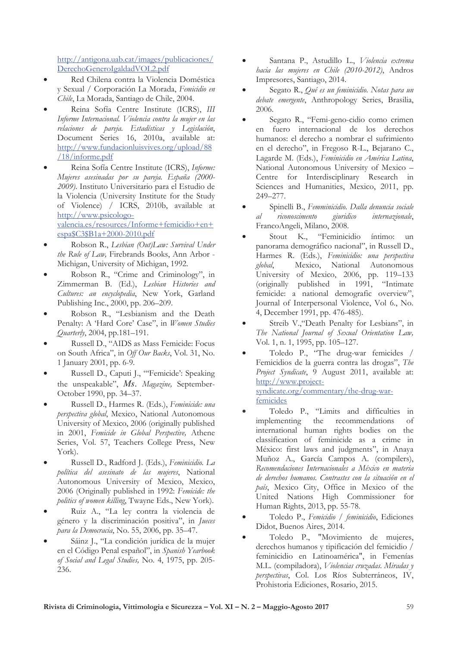http://antigona.uab.cat/images/publicaciones/ DerechoGeneroIgaldadVOL2.pdf

- Red Chilena contra la Violencia Doméstica y Sexual / Corporación La Morada, Femicidio en Chile, La Morada, Santiago de Chile, 2004.
- Reina Sofía Centre Institute (ICRS), III Informe Internacional. Violencia contra la mujer en las relaciones de pareja. Estadísticas y Legislación, Document Series 16, 2010a, available at: http://www.fundacionluisvives.org/upload/88  $/18$ /informe.pdf
- Reina Sofía Centre Institute (ICRS), Informe: Mujeres asesinadas por su pareja. España (2000-2009). Instituto Universitario para el Estudio de la Violencia (University Institute for the Study of Violence) / ICRS, 2010b, available at http://www.psicologovalencia.es/resources/Informe+femicidio+en+  $espa$C3$B1a+2000-2010.pdf$
- Robson R., Lesbian (Out)Law: Survival Under the Rule of Law, Firebrands Books, Ann Arbor -Michigan, University of Michigan, 1992.
- Robson R., "Crime and Criminology", in Zimmerman B. (Ed.), Lesbian Histories and Cultures: an encyclopedia, New York, Garland Publishing Inc., 2000, pp. 206-209.
- Robson R., "Lesbianism and the Death Penalty: A 'Hard Core' Case'', in Women Studies Quarterly, 2004, pp.181-191.
- Russell D., "AIDS as Mass Femicide: Focus on South Africa", in Off Our Backs, Vol. 31, No. 1 January 2001, pp. 6-9.
- Russell D., Caputi J., "'Femicide': Speaking the unspeakable", Ms. Magazine, September-October 1990, pp. 34-37.
- Russell D., Harmes R. (Eds.), Feminicide: una perspectiva global, Mexico, National Autonomous University of Mexico, 2006 (originally published in 2001, Femicide in Global Perspective, Athene Series, Vol. 57, Teachers College Press, New York).
- Russell D., Radford J. (Eds.), Feminicidio. La política del asesinato de las mujeres, National Autonomous University of Mexico, Mexico, 2006 (Originally published in 1992: Femicide: the politics of women killing, Twayne Eds., New York).
- Ruiz A., "La ley contra la violencia de género y la discriminación positiva", in Jueces para la Democracia, No. 55, 2006, pp. 35-47.
- Sáinz J., "La condición jurídica de la mujer en el Código Penal español", in Spanish Yearbook of Social and Legal Studies, No. 4, 1975, pp. 205-236.
- Santana P., Astudillo L., Violencia extrema hacia las mujeres en Chile (2010-2012), Andros Impresores, Santiago, 2014.
- Segato R., Qué es un feminicidio. Notas para un debate emergente, Anthropology Series, Brasilia, 2006.
- Segato R., "Femi-geno-cidio como crimen fuero internacional de los derechos en humanos: el derecho a nombrar el sufrimiento en el derecho", in Fregoso R-L., Bejarano C., Lagarde M. (Eds.), Feminicidio en América Latina, National Autonomous University of Mexico -Centre for Interdisciplinary Research in Sciences and Humanities, Mexico, 2011, pp. 249-277.
- Spinelli B., Femminicidio. Dalla denuncia sociale giuridico  $al$ riconoscimento internazionale, FrancoAngeli, Milano, 2008.
- K., "Feminicidio Stout íntimo: un panorama demográfico nacional", in Russell D., Harmes R. (Eds.), Feminicidio: una perspectiva global, Mexico, National Autonomous University of Mexico, 2006, pp. 119-133 (originally published in 1991, "Intimate femicide: a national demografic overview", Journal of Interpersonal Violence, Vol 6., No. 4, December 1991, pp. 476-485).
- Streib V., "Death Penalty for Lesbians", in The National Journal of Sexual Orientation Law, Vol. 1, n. 1, 1995, pp. 105-127.
- Toledo P., "The drug-war femicides / Femicidios de la guerra contra las drogas", The Project Syndicate, 9 August 2011, available at: http://www.projectsyndicate.org/commentary/the-drug-warfemicides
- Toledo P., "Limits and difficulties in implementing the recommendations  $\alpha$ f international human rights bodies on the classification of feminicide as a crime in México: first laws and judgments", in Anaya Muñoz A., García Campos A. (compilers), Recomendaciones Internacionales a México en materia de derechos humanos. Contrastes con la situación en el país, Mexico City, Office in Mexico of the United Nations High Commissioner for Human Rights, 2013, pp. 55-78.
- Toledo P., Femicidio / feminicidio, Ediciones Didot, Buenos Aires, 2014.
- Toledo P., "Movimiento de mujeres, derechos humanos y tipificación del femicidio / feminicidio en Latinoamérica", in Femenías M.L. (compiladora), Violencias cruzadas. Miradas y perspectivas, Col. Los Ríos Subterráneos, IV, Prohistoria Ediciones, Rosario, 2015.